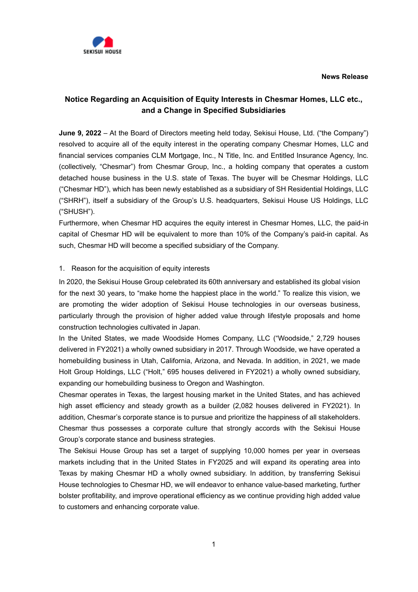**News Release** 



## **Notice Regarding an Acquisition of Equity Interests in Chesmar Homes, LLC etc., and a Change in Specified Subsidiaries**

**June 9, 2022** – At the Board of Directors meeting held today, Sekisui House, Ltd. ("the Company") resolved to acquire all of the equity interest in the operating company Chesmar Homes, LLC and financial services companies CLM Mortgage, Inc., N Title, Inc. and Entitled Insurance Agency, Inc. (collectively, "Chesmar") from Chesmar Group, Inc., a holding company that operates a custom detached house business in the U.S. state of Texas. The buyer will be Chesmar Holdings, LLC ("Chesmar HD"), which has been newly established as a subsidiary of SH Residential Holdings, LLC ("SHRH"), itself a subsidiary of the Group's U.S. headquarters, Sekisui House US Holdings, LLC ("SHUSH").

Furthermore, when Chesmar HD acquires the equity interest in Chesmar Homes, LLC, the paid-in capital of Chesmar HD will be equivalent to more than 10% of the Company's paid-in capital. As such, Chesmar HD will become a specified subsidiary of the Company.

### 1. Reason for the acquisition of equity interests

In 2020, the Sekisui House Group celebrated its 60th anniversary and established its global vision for the next 30 years, to "make home the happiest place in the world." To realize this vision, we are promoting the wider adoption of Sekisui House technologies in our overseas business, particularly through the provision of higher added value through lifestyle proposals and home construction technologies cultivated in Japan.

In the United States, we made Woodside Homes Company, LLC ("Woodside," 2,729 houses delivered in FY2021) a wholly owned subsidiary in 2017. Through Woodside, we have operated a homebuilding business in Utah, California, Arizona, and Nevada. In addition, in 2021, we made Holt Group Holdings, LLC ("Holt," 695 houses delivered in FY2021) a wholly owned subsidiary, expanding our homebuilding business to Oregon and Washington.

Chesmar operates in Texas, the largest housing market in the United States, and has achieved high asset efficiency and steady growth as a builder (2,082 houses delivered in FY2021). In addition, Chesmar's corporate stance is to pursue and prioritize the happiness of all stakeholders. Chesmar thus possesses a corporate culture that strongly accords with the Sekisui House Group's corporate stance and business strategies.

The Sekisui House Group has set a target of supplying 10,000 homes per year in overseas markets including that in the United States in FY2025 and will expand its operating area into Texas by making Chesmar HD a wholly owned subsidiary. In addition, by transferring Sekisui House technologies to Chesmar HD, we will endeavor to enhance value-based marketing, further bolster profitability, and improve operational efficiency as we continue providing high added value to customers and enhancing corporate value.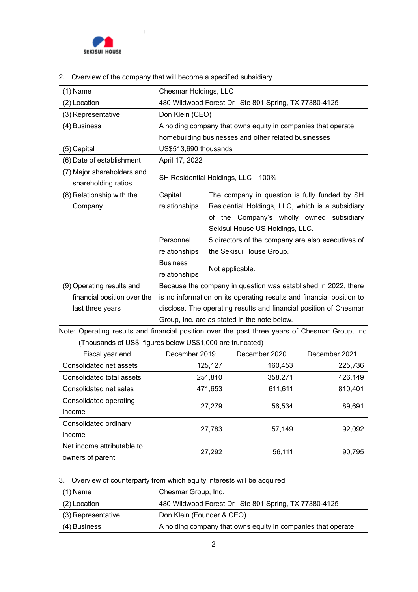

2. Overview of the company that will become a specified subsidiary

 $\mathbb{L}$ 

| $(1)$ Name                  | Chesmar Holdings, LLC                                                |                                                   |  |
|-----------------------------|----------------------------------------------------------------------|---------------------------------------------------|--|
| (2) Location                | 480 Wildwood Forest Dr., Ste 801 Spring, TX 77380-4125               |                                                   |  |
| (3) Representative          | Don Klein (CEO)                                                      |                                                   |  |
| (4) Business                | A holding company that owns equity in companies that operate         |                                                   |  |
|                             | homebuilding businesses and other related businesses                 |                                                   |  |
| (5) Capital                 | US\$513,690 thousands                                                |                                                   |  |
| (6) Date of establishment   | April 17, 2022                                                       |                                                   |  |
| (7) Major shareholders and  |                                                                      |                                                   |  |
| shareholding ratios         | SH Residential Holdings, LLC<br>100%                                 |                                                   |  |
| (8) Relationship with the   | Capital                                                              | The company in question is fully funded by SH     |  |
| Company                     | relationships                                                        | Residential Holdings, LLC, which is a subsidiary  |  |
|                             |                                                                      | of the Company's wholly owned subsidiary          |  |
|                             |                                                                      | Sekisui House US Holdings, LLC.                   |  |
|                             | Personnel                                                            | 5 directors of the company are also executives of |  |
|                             | relationships                                                        | the Sekisui House Group.                          |  |
|                             | <b>Business</b>                                                      |                                                   |  |
|                             | relationships                                                        | Not applicable.                                   |  |
| (9) Operating results and   | Because the company in question was established in 2022, there       |                                                   |  |
| financial position over the | is no information on its operating results and financial position to |                                                   |  |
| last three years            | disclose. The operating results and financial position of Chesmar    |                                                   |  |
|                             | Group, Inc. are as stated in the note below.                         |                                                   |  |

Note: Operating results and financial position over the past three years of Chesmar Group, Inc. (Thousands of US\$; figures below US\$1,000 are truncated)

| Fiscal year end            | December 2019 | December 2020 | December 2021 |
|----------------------------|---------------|---------------|---------------|
| Consolidated net assets    | 125,127       | 160,453       | 225,736       |
| Consolidated total assets  | 251,810       | 358,271       | 426,149       |
| Consolidated net sales     | 471,653       | 611,611       | 810,401       |
| Consolidated operating     | 27,279        | 56,534        | 89,691        |
| income                     |               |               |               |
| Consolidated ordinary      | 27,783        | 57,149        | 92,092        |
| income                     |               |               |               |
| Net income attributable to | 27,292        | 56,111        | 90,795        |
| owners of parent           |               |               |               |

3. Overview of counterparty from which equity interests will be acquired

| $(1)$ Name         | Chesmar Group, Inc.                                          |
|--------------------|--------------------------------------------------------------|
| (2) Location       | 480 Wildwood Forest Dr., Ste 801 Spring, TX 77380-4125       |
| (3) Representative | Don Klein (Founder & CEO)                                    |
| (4) Business       | A holding company that owns equity in companies that operate |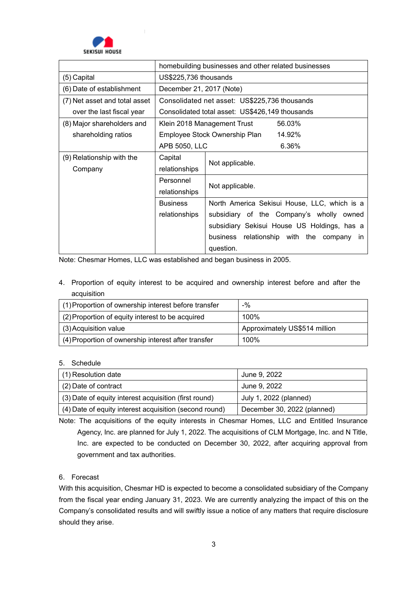

|                               | homebuilding businesses and other related businesses |                                                     |  |
|-------------------------------|------------------------------------------------------|-----------------------------------------------------|--|
| (5) Capital                   | US\$225,736 thousands                                |                                                     |  |
| (6) Date of establishment     | December 21, 2017 (Note)                             |                                                     |  |
| (7) Net asset and total asset | Consolidated net asset: US\$225,736 thousands        |                                                     |  |
| over the last fiscal year     | Consolidated total asset: US\$426,149 thousands      |                                                     |  |
| (8) Major shareholders and    | Klein 2018 Management Trust<br>56.03%                |                                                     |  |
| shareholding ratios           | 14.92%<br>Employee Stock Ownership Plan              |                                                     |  |
|                               | APB 5050, LLC<br>6.36%                               |                                                     |  |
| (9) Relationship with the     | Capital                                              |                                                     |  |
| Company                       | relationships                                        | Not applicable.                                     |  |
|                               | Personnel                                            |                                                     |  |
|                               | relationships                                        | Not applicable.                                     |  |
|                               | <b>Business</b>                                      | North America Sekisui House, LLC, which is a        |  |
|                               | relationships                                        | subsidiary of the Company's wholly owned            |  |
|                               |                                                      | subsidiary Sekisui House US Holdings, has a         |  |
|                               |                                                      | business relationship with the company<br><i>in</i> |  |
|                               |                                                      | question.                                           |  |

Note: Chesmar Homes, LLC was established and began business in 2005.

4. Proportion of equity interest to be acquired and ownership interest before and after the acquisition

| (1) Proportion of ownership interest before transfer | $-$ %                         |
|------------------------------------------------------|-------------------------------|
| (2) Proportion of equity interest to be acquired     | 100%                          |
| (3) Acquisition value                                | Approximately US\$514 million |
| (4) Proportion of ownership interest after transfer  | 100%                          |

### 5. Schedule

| $(1)$ Resolution date                                  | June 9, 2022                |
|--------------------------------------------------------|-----------------------------|
| (2) Date of contract                                   | June 9, 2022                |
| (3) Date of equity interest acquisition (first round)  | July 1, 2022 (planned)      |
| (4) Date of equity interest acquisition (second round) | December 30, 2022 (planned) |

Note: The acquisitions of the equity interests in Chesmar Homes, LLC and Entitled Insurance Agency, Inc. are planned for July 1, 2022. The acquisitions of CLM Mortgage, Inc. and N Title, Inc. are expected to be conducted on December 30, 2022, after acquiring approval from government and tax authorities.

### 6. Forecast

With this acquisition, Chesmar HD is expected to become a consolidated subsidiary of the Company from the fiscal year ending January 31, 2023. We are currently analyzing the impact of this on the Company's consolidated results and will swiftly issue a notice of any matters that require disclosure should they arise.